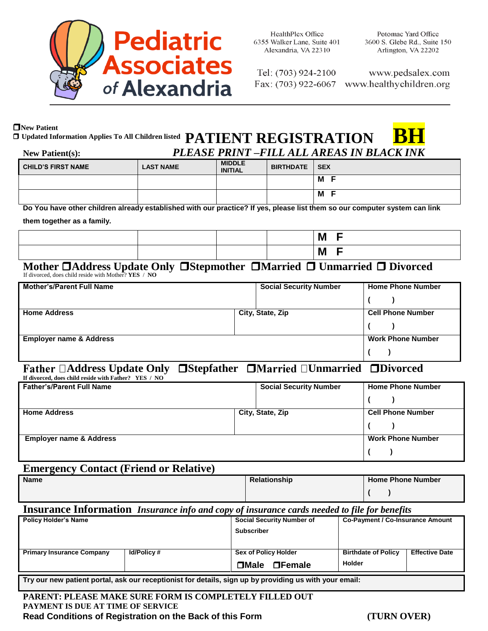

**HealthPlex Office** 6355 Walker Lane, Suite 401 Alexandria, VA 22310

Potomac Yard Office 3600 S. Glebe Rd., Suite 150 Arlington, VA 22202

Tel: (703) 924-2100

**M F**

www.pedsalex.com Fax: (703) 922-6067 www.healthychildren.org

# **New Patient**  $\Box$  Updated Information Applies To All Children listed  $\bm{\mathrm{PATHN}}$   $\bm{\mathrm{REGISTRATION}}$

| <b>New Patient(s):</b>    | PLEASE PRINT -FILL ALL AREAS IN BLACK INK |                                 |                 |   |
|---------------------------|-------------------------------------------|---------------------------------|-----------------|---|
| <b>CHILD'S FIRST NAME</b> | <b>LAST NAME</b>                          | <b>MIDDLE</b><br><b>INITIAL</b> | BIRTHDATE   SEX |   |
|                           |                                           |                                 |                 | M |

**Do You have other children already established with our practice? If yes, please list them so our computer system can link** 

**them together as a family.** 

|  |  | M |
|--|--|---|
|  |  | M |

### If divorced, does child reside with Mother? **YES** / **NO Mother Address Update Only Stepmother Married Unmarried Divorced**

| <b>Mother's/Parent Full Name</b>   |                  | <b>Social Security Number</b> | <b>Home Phone Number</b> |
|------------------------------------|------------------|-------------------------------|--------------------------|
|                                    |                  |                               |                          |
| <b>Home Address</b>                | City, State, Zip |                               | <b>Cell Phone Number</b> |
|                                    |                  |                               |                          |
| <b>Employer name &amp; Address</b> |                  |                               | <b>Work Phone Number</b> |
|                                    |                  |                               |                          |

# **Address Update Only Stepfather Unmarried Divorced**

| If divorced, does child reside with Father? YES / NO |                               |                          |  |  |  |
|------------------------------------------------------|-------------------------------|--------------------------|--|--|--|
| <b>Father's/Parent Full Name</b>                     | <b>Social Security Number</b> | <b>Home Phone Number</b> |  |  |  |
|                                                      |                               |                          |  |  |  |
| <b>Home Address</b>                                  | City, State, Zip              | <b>Cell Phone Number</b> |  |  |  |
|                                                      |                               |                          |  |  |  |
| <b>Employer name &amp; Address</b>                   |                               | <b>Work Phone Number</b> |  |  |  |
|                                                      |                               |                          |  |  |  |

## **Emergency Contact (Friend or Relative)**

| <b>Name</b> | <b>Relationship</b> | <b>Home Phone Number</b> |  |  |
|-------------|---------------------|--------------------------|--|--|
|             |                     |                          |  |  |

## **Insurance Information** *Insurance info and copy of insurance cards needed to file for benefits*

| Policy Holder's Name                                                                                   |                   | <b>Social Security Number of</b><br><b>Subscriber</b> |               | <b>Co-Payment / Co-Insurance Amount</b> |                       |
|--------------------------------------------------------------------------------------------------------|-------------------|-------------------------------------------------------|---------------|-----------------------------------------|-----------------------|
| <b>Primary Insurance Company</b>                                                                       | <b>Id/Policy#</b> | Sex of Policy Holder                                  |               | <b>Birthdate of Policy</b>              | <b>Effective Date</b> |
|                                                                                                        |                   | $\Box$ Male                                           | $\Box$ Female | Holder                                  |                       |
| Try our new patient portal, ask our receptionist for details, sign up by providing us with your email: |                   |                                                       |               |                                         |                       |

**PARENT: PLEASE MAKE SURE FORM IS COMPLETELY FILLED OUT PAYMENT IS DUE AT TIME OF SERVICE Read Conditions of Registration on the Back of this Form (TURN OVER)**